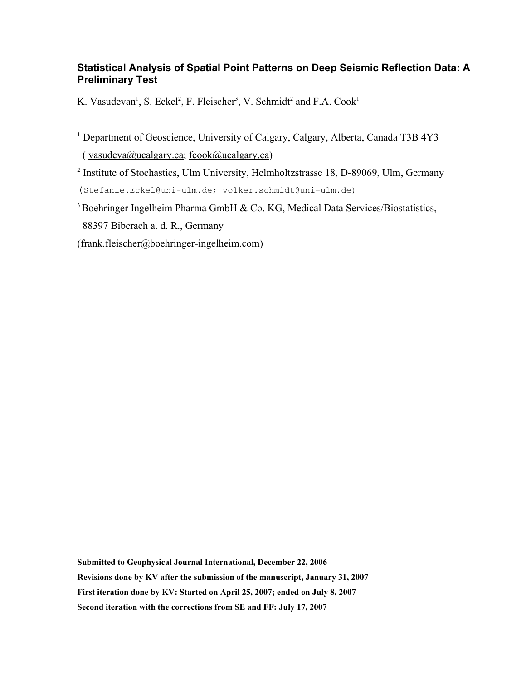## **Statistical Analysis of Spatial Point Patterns on Deep Seismic Reflection Data: A Preliminary Test**

K. Vasudevan<sup>1</sup>, S. Eckel<sup>2</sup>, F. Fleischer<sup>3</sup>, V. Schmidt<sup>2</sup> and F.A. Cook<sup>1</sup>

<sup>1</sup> Department of Geoscience, University of Calgary, Calgary, Alberta, Canada T3B 4Y3 ( [vasudeva@ucalgary.ca;](mailto:vasudeva@ucalgary.ca) [fcook@ucalgary.ca](mailto:fcook@ucalgary.ca))

<sup>2</sup> Institute of Stochastics, Ulm University, Helmholtzstrasse 18, D-89069, Ulm, Germany ([Stefanie.Eckel@uni-ulm.de](https://webmail.ucalgary.ca/src/compose.php?send_to=Stefanie.Eckel@uni-ulm.de); [volker.schmidt@uni-ulm.de](https://webmail.ucalgary.ca/src/compose.php?send_to=volker.schmidt@uni-ulm.de))

 $3$ Boehringer Ingelheim Pharma GmbH & Co. KG, Medical Data Services/Biostatistics,

88397 Biberach a. d. R., Germany

([frank.fleischer@boehringer-ingelheim.com](mailto:frank.fleischer@boehringer-ingelheim.com))

**Submitted to Geophysical Journal International, December 22, 2006 Revisions done by KV after the submission of the manuscript, January 31, 2007 First iteration done by KV: Started on April 25, 2007; ended on July 8, 2007 Second iteration with the corrections from SE and FF: July 17, 2007**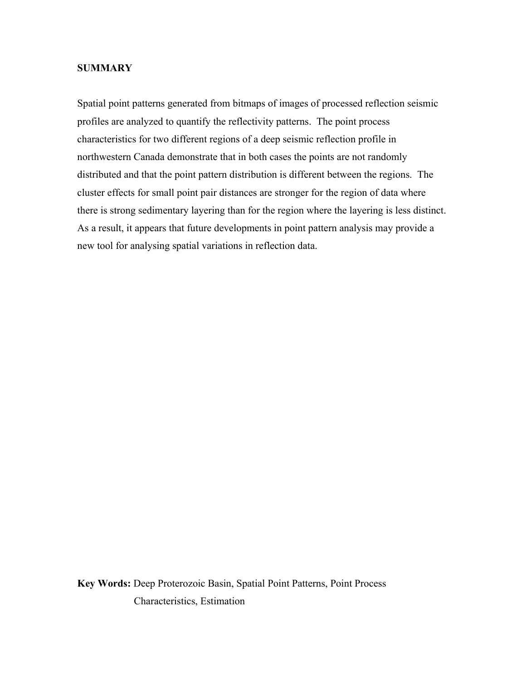## **SUMMARY**

Spatial point patterns generated from bitmaps of images of processed reflection seismic profiles are analyzed to quantify the reflectivity patterns. The point process characteristics for two different regions of a deep seismic reflection profile in northwestern Canada demonstrate that in both cases the points are not randomly distributed and that the point pattern distribution is different between the regions. The cluster effects for small point pair distances are stronger for the region of data where there is strong sedimentary layering than for the region where the layering is less distinct. As a result, it appears that future developments in point pattern analysis may provide a new tool for analysing spatial variations in reflection data.

**Key Words:** Deep Proterozoic Basin, Spatial Point Patterns, Point Process Characteristics, Estimation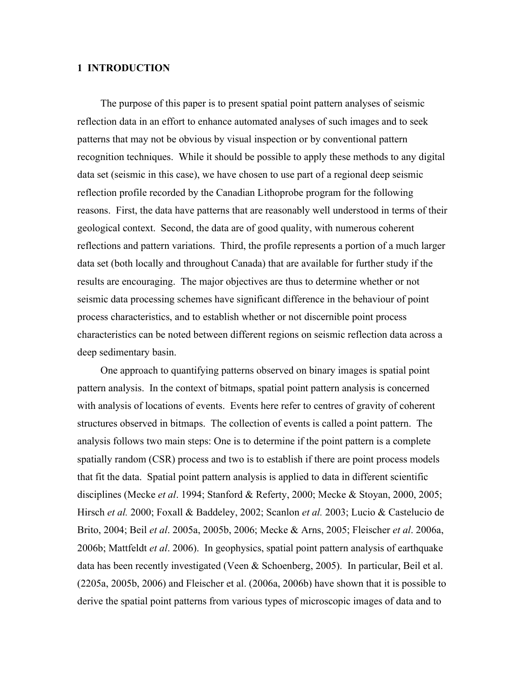## **1 INTRODUCTION**

The purpose of this paper is to present spatial point pattern analyses of seismic reflection data in an effort to enhance automated analyses of such images and to seek patterns that may not be obvious by visual inspection or by conventional pattern recognition techniques. While it should be possible to apply these methods to any digital data set (seismic in this case), we have chosen to use part of a regional deep seismic reflection profile recorded by the Canadian Lithoprobe program for the following reasons. First, the data have patterns that are reasonably well understood in terms of their geological context. Second, the data are of good quality, with numerous coherent reflections and pattern variations. Third, the profile represents a portion of a much larger data set (both locally and throughout Canada) that are available for further study if the results are encouraging. The major objectives are thus to determine whether or not seismic data processing schemes have significant difference in the behaviour of point process characteristics, and to establish whether or not discernible point process characteristics can be noted between different regions on seismic reflection data across a deep sedimentary basin.

One approach to quantifying patterns observed on binary images is spatial point pattern analysis. In the context of bitmaps, spatial point pattern analysis is concerned with analysis of locations of events. Events here refer to centres of gravity of coherent structures observed in bitmaps. The collection of events is called a point pattern. The analysis follows two main steps: One is to determine if the point pattern is a complete spatially random (CSR) process and two is to establish if there are point process models that fit the data. Spatial point pattern analysis is applied to data in different scientific disciplines (Mecke *et al*. 1994; Stanford & Referty, 2000; Mecke & Stoyan, 2000, 2005; Hirsch *et al.* 2000; Foxall & Baddeley, 2002; Scanlon *et al.* 2003; Lucio & Castelucio de Brito, 2004; Beil *et al*. 2005a, 2005b, 2006; Mecke & Arns, 2005; Fleischer *et al*. 2006a, 2006b; Mattfeldt *et al*. 2006). In geophysics, spatial point pattern analysis of earthquake data has been recently investigated (Veen & Schoenberg, 2005). In particular, Beil et al. (2205a, 2005b, 2006) and Fleischer et al. (2006a, 2006b) have shown that it is possible to derive the spatial point patterns from various types of microscopic images of data and to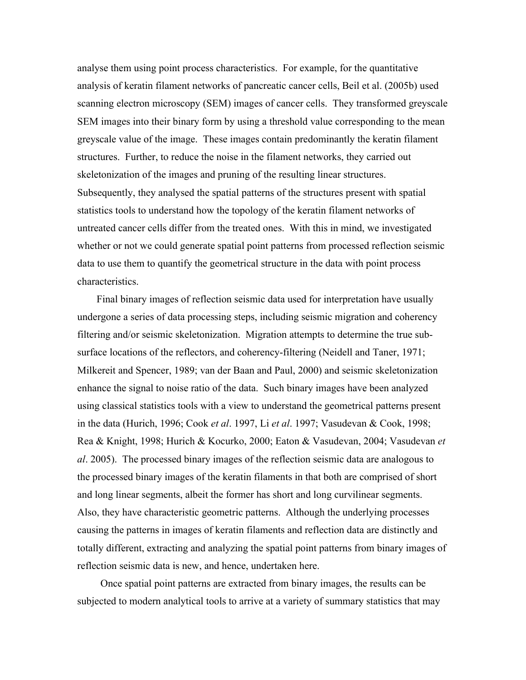analyse them using point process characteristics. For example, for the quantitative analysis of keratin filament networks of pancreatic cancer cells, Beil et al. (2005b) used scanning electron microscopy (SEM) images of cancer cells. They transformed greyscale SEM images into their binary form by using a threshold value corresponding to the mean greyscale value of the image. These images contain predominantly the keratin filament structures. Further, to reduce the noise in the filament networks, they carried out skeletonization of the images and pruning of the resulting linear structures. Subsequently, they analysed the spatial patterns of the structures present with spatial statistics tools to understand how the topology of the keratin filament networks of untreated cancer cells differ from the treated ones. With this in mind, we investigated whether or not we could generate spatial point patterns from processed reflection seismic data to use them to quantify the geometrical structure in the data with point process characteristics.

Final binary images of reflection seismic data used for interpretation have usually undergone a series of data processing steps, including seismic migration and coherency filtering and/or seismic skeletonization. Migration attempts to determine the true subsurface locations of the reflectors, and coherency-filtering (Neidell and Taner, 1971; Milkereit and Spencer, 1989; van der Baan and Paul, 2000) and seismic skeletonization enhance the signal to noise ratio of the data. Such binary images have been analyzed using classical statistics tools with a view to understand the geometrical patterns present in the data (Hurich, 1996; Cook *et al*. 1997, Li *et al*. 1997; Vasudevan & Cook, 1998; Rea & Knight, 1998; Hurich & Kocurko, 2000; Eaton & Vasudevan, 2004; Vasudevan *et al*. 2005). The processed binary images of the reflection seismic data are analogous to the processed binary images of the keratin filaments in that both are comprised of short and long linear segments, albeit the former has short and long curvilinear segments. Also, they have characteristic geometric patterns. Although the underlying processes causing the patterns in images of keratin filaments and reflection data are distinctly and totally different, extracting and analyzing the spatial point patterns from binary images of reflection seismic data is new, and hence, undertaken here.

Once spatial point patterns are extracted from binary images, the results can be subjected to modern analytical tools to arrive at a variety of summary statistics that may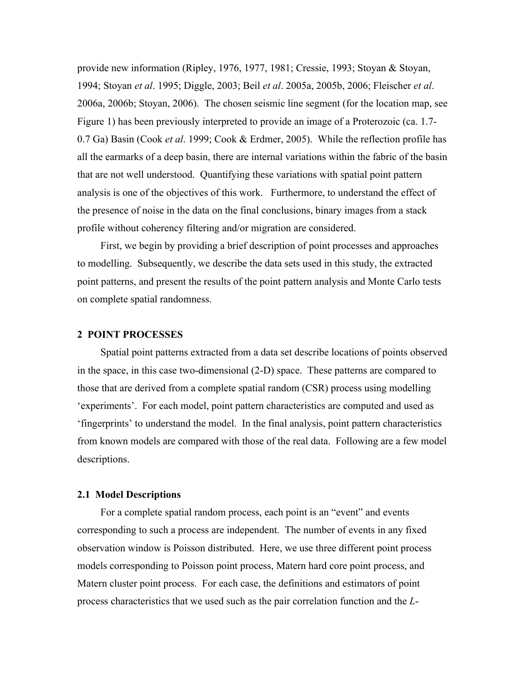provide new information (Ripley, 1976, 1977, 1981; Cressie, 1993; Stoyan & Stoyan, 1994; Stoyan *et al*. 1995; Diggle, 2003; Beil *et al*. 2005a, 2005b, 2006; Fleischer *et al*. 2006a, 2006b; Stoyan, 2006). The chosen seismic line segment (for the location map, see Figure 1) has been previously interpreted to provide an image of a Proterozoic (ca. 1.7- 0.7 Ga) Basin (Cook *et al*. 1999; Cook & Erdmer, 2005). While the reflection profile has all the earmarks of a deep basin, there are internal variations within the fabric of the basin that are not well understood. Quantifying these variations with spatial point pattern analysis is one of the objectives of this work. Furthermore, to understand the effect of the presence of noise in the data on the final conclusions, binary images from a stack profile without coherency filtering and/or migration are considered.

First, we begin by providing a brief description of point processes and approaches to modelling. Subsequently, we describe the data sets used in this study, the extracted point patterns, and present the results of the point pattern analysis and Monte Carlo tests on complete spatial randomness.

#### **2 POINT PROCESSES**

Spatial point patterns extracted from a data set describe locations of points observed in the space, in this case two-dimensional (2-D) space. These patterns are compared to those that are derived from a complete spatial random (CSR) process using modelling 'experiments'. For each model, point pattern characteristics are computed and used as 'fingerprints' to understand the model. In the final analysis, point pattern characteristics from known models are compared with those of the real data. Following are a few model descriptions.

#### **2.1 Model Descriptions**

For a complete spatial random process, each point is an "event" and events corresponding to such a process are independent. The number of events in any fixed observation window is Poisson distributed. Here, we use three different point process models corresponding to Poisson point process, Matern hard core point process, and Matern cluster point process. For each case, the definitions and estimators of point process characteristics that we used such as the pair correlation function and the *L*-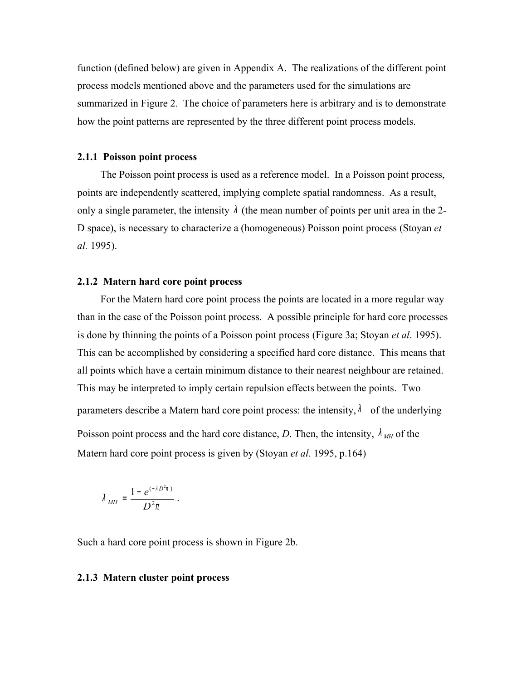function (defined below) are given in Appendix A. The realizations of the different point process models mentioned above and the parameters used for the simulations are summarized in Figure 2. The choice of parameters here is arbitrary and is to demonstrate how the point patterns are represented by the three different point process models.

### **2.1.1 Poisson point process**

The Poisson point process is used as a reference model. In a Poisson point process, points are independently scattered, implying complete spatial randomness. As a result, only a single parameter, the intensity  $\lambda$  (the mean number of points per unit area in the 2-D space), is necessary to characterize a (homogeneous) Poisson point process (Stoyan *et al.* 1995).

#### **2.1.2 Matern hard core point process**

For the Matern hard core point process the points are located in a more regular way than in the case of the Poisson point process. A possible principle for hard core processes is done by thinning the points of a Poisson point process (Figure 3a; Stoyan *et al*. 1995). This can be accomplished by considering a specified hard core distance. This means that all points which have a certain minimum distance to their nearest neighbour are retained. This may be interpreted to imply certain repulsion effects between the points. Two parameters describe a Matern hard core point process: the intensity,  $\lambda$  of the underlying Poisson point process and the hard core distance, *D*. Then, the intensity,  $\lambda_{MH}$  of the Matern hard core point process is given by (Stoyan *et al*. 1995, p.164)

$$
\lambda_{MH} = \frac{1 - e^{(-\lambda D^2 \pi)}}{D^2 \pi}.
$$

Such a hard core point process is shown in Figure 2b.

#### **2.1.3 Matern cluster point process**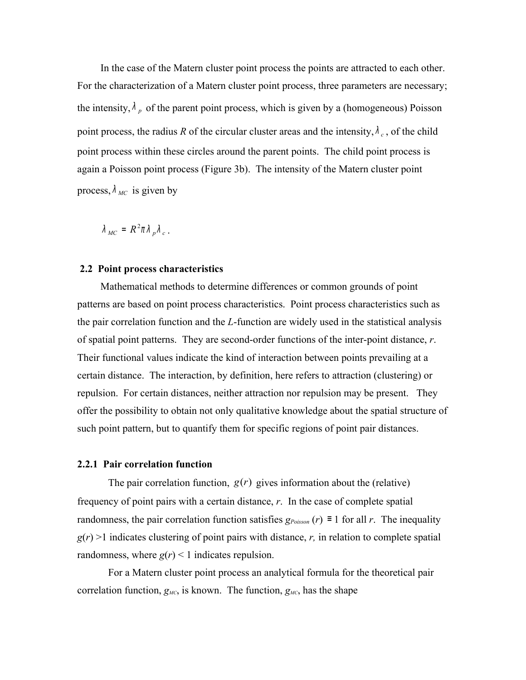In the case of the Matern cluster point process the points are attracted to each other. For the characterization of a Matern cluster point process, three parameters are necessary; the intensity,  $\lambda_p$  of the parent point process, which is given by a (homogeneous) Poisson point process, the radius *R* of the circular cluster areas and the intensity,  $\lambda_c$ , of the child point process within these circles around the parent points. The child point process is again a Poisson point process (Figure 3b). The intensity of the Matern cluster point process,  $\lambda_{MC}$  is given by

$$
\lambda_{MC} = R^2 \pi \lambda_p \lambda_c.
$$

### **2.2 Point process characteristics**

Mathematical methods to determine differences or common grounds of point patterns are based on point process characteristics. Point process characteristics such as the pair correlation function and the *L*-function are widely used in the statistical analysis of spatial point patterns. They are second-order functions of the inter-point distance, *r*. Their functional values indicate the kind of interaction between points prevailing at a certain distance. The interaction, by definition, here refers to attraction (clustering) or repulsion. For certain distances, neither attraction nor repulsion may be present. They offer the possibility to obtain not only qualitative knowledge about the spatial structure of such point pattern, but to quantify them for specific regions of point pair distances.

#### **2.2.1 Pair correlation function**

The pair correlation function,  $g(r)$  gives information about the (relative) frequency of point pairs with a certain distance, *r*. In the case of complete spatial randomness, the pair correlation function satisfies  $g_{Poisson}(r) = 1$  for all *r*. The inequality  $g(r)$  >1 indicates clustering of point pairs with distance, *r*, in relation to complete spatial randomness, where  $g(r)$  < 1 indicates repulsion.

For a Matern cluster point process an analytical formula for the theoretical pair correlation function,  $g_{MC}$ , is known. The function,  $g_{MC}$ , has the shape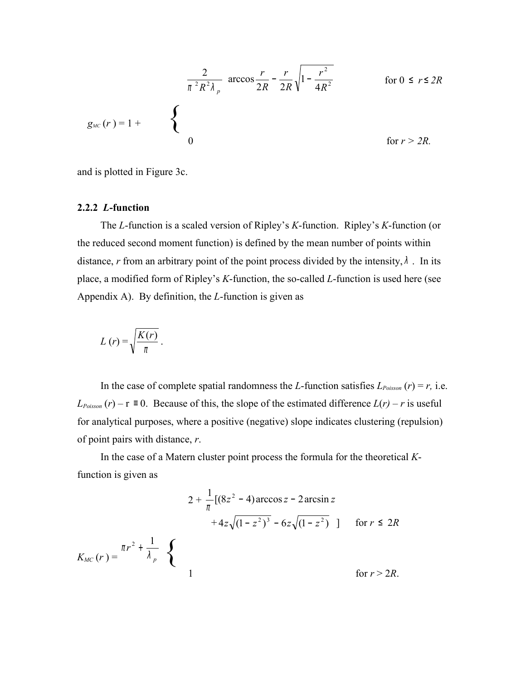$$
\frac{2}{\pi^2 R^2 \lambda_p} \left[ \arccos \frac{r}{2R} - \frac{r}{2R} \sqrt{1 - \frac{r^2}{4R^2}} \right] \qquad \text{for } 0 \le r \le 2R
$$
  
g<sub>MC</sub> (r) = 1 +  $\begin{cases} 0 & \text{for } r > 2R. \end{cases}$ 

and is plotted in Figure 3c.

## **2.2.2** *L***-function**

The *L*-function is a scaled version of Ripley's *K*-function. Ripley's *K*-function (or the reduced second moment function) is defined by the mean number of points within distance, *r* from an arbitrary point of the point process divided by the intensity,  $\lambda$ . In its place, a modified form of Ripley's *K*-function, the so-called *L*-function is used here (see Appendix A). By definition, the *L*-function is given as

$$
L(r) = \sqrt{\frac{K(r)}{\pi}}.
$$

In the case of complete spatial randomness the *L*-function satisfies  $L_{Poisson}(r) = r$ , i.e. *L*<sub>Poisson</sub>  $(r)$  –  $r \equiv 0$ . Because of this, the slope of the estimated difference  $L(r)$  – *r* is useful for analytical purposes, where a positive (negative) slope indicates clustering (repulsion) of point pairs with distance, *r*.

In the case of a Matern cluster point process the formula for the theoretical *K*function is given as

$$
2 + \frac{1}{\pi} [(8z^{2} - 4) \arccos z - 2 \arcsin z + 4z \sqrt{(1 - z^{2})^{3}} - 6z \sqrt{(1 - z^{2})} ] \quad \text{for } r \le 2R
$$
  

$$
K_{MC}(r) = \frac{\pi r^{2} + \frac{1}{\lambda p}}{\lambda}
$$
  
1  
for  $r > 2R$ .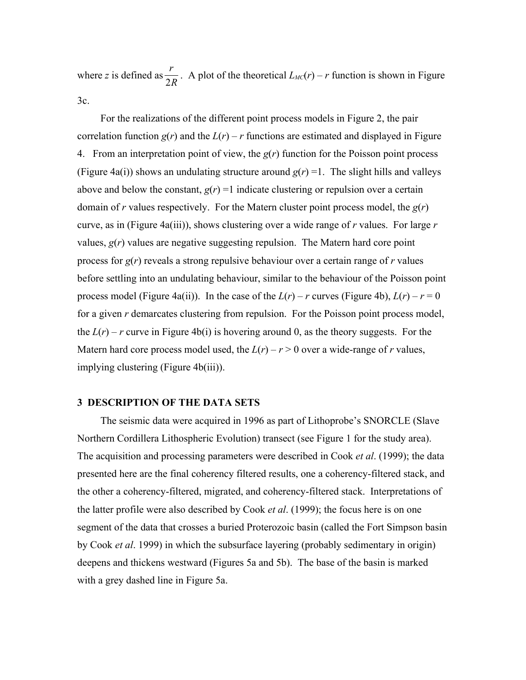where *z* is defined as *R r* 2 . A plot of the theoretical  $L_{MC}(r) - r$  function is shown in Figure 3c.

For the realizations of the different point process models in Figure 2, the pair correlation function  $g(r)$  and the  $L(r) - r$  functions are estimated and displayed in Figure 4. From an interpretation point of view, the *g*(*r*) function for the Poisson point process (Figure 4a(i)) shows an undulating structure around  $g(r) = 1$ . The slight hills and valleys above and below the constant,  $g(r) = 1$  indicate clustering or repulsion over a certain domain of *r* values respectively. For the Matern cluster point process model, the *g*(*r*) curve, as in (Figure 4a(iii)), shows clustering over a wide range of *r* values. For large *r* values,  $g(r)$  values are negative suggesting repulsion. The Matern hard core point process for *g*(*r*) reveals a strong repulsive behaviour over a certain range of *r* values before settling into an undulating behaviour, similar to the behaviour of the Poisson point process model (Figure 4a(ii)). In the case of the  $L(r) - r$  curves (Figure 4b),  $L(r) - r = 0$ for a given *r* demarcates clustering from repulsion. For the Poisson point process model, the  $L(r) - r$  curve in Figure 4b(i) is hovering around 0, as the theory suggests. For the Matern hard core process model used, the  $L(r) - r > 0$  over a wide-range of *r* values, implying clustering (Figure 4b(iii)).

## **3 DESCRIPTION OF THE DATA SETS**

The seismic data were acquired in 1996 as part of Lithoprobe's SNORCLE (Slave Northern Cordillera Lithospheric Evolution) transect (see Figure 1 for the study area). The acquisition and processing parameters were described in Cook *et al*. (1999); the data presented here are the final coherency filtered results, one a coherency-filtered stack, and the other a coherency-filtered, migrated, and coherency-filtered stack. Interpretations of the latter profile were also described by Cook *et al*. (1999); the focus here is on one segment of the data that crosses a buried Proterozoic basin (called the Fort Simpson basin by Cook *et al*. 1999) in which the subsurface layering (probably sedimentary in origin) deepens and thickens westward (Figures 5a and 5b). The base of the basin is marked with a grey dashed line in Figure 5a.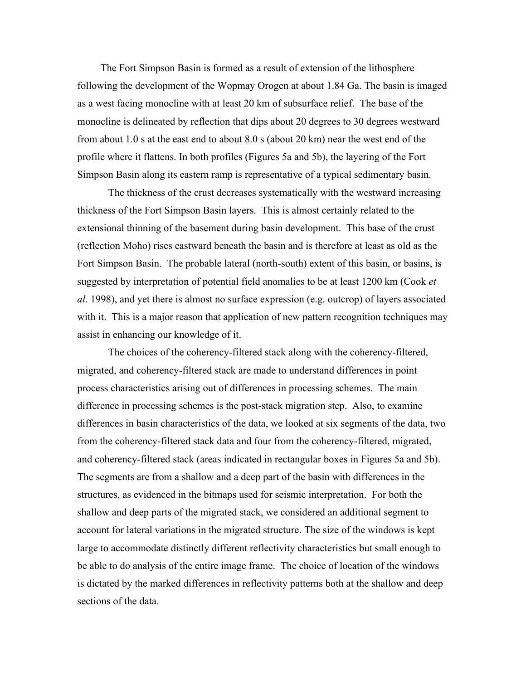The Fort Simpson Basin is formed as a result of extension of the lithosphere following the development of the Wopmay Orogen at about 1.84 Ga. The basin is imaged as a west facing monocline with at least 20 km of subsurface relief. The base of the monocline is delineated by reflection that dips about 20 degrees to 30 degrees westward from about 1.0 s at the east end to about 8.0 s (about 20 km) near the west end of the profile where it flattens. In both profiles (Figures 5a and 5b), the layering of the Fort Simpson Basin along its eastern ramp is representative of a typical sedimentary basin.

The thickness of the crust decreases systematically with the westward increasing thickness of the Fort Simpson Basin layers. This is almost certainly related to the extensional thinning of the basement during basin development. This base of the crust (reflection Moho) rises eastward beneath the basin and is therefore at least as old as the Fort Simpson Basin. The probable lateral (north-south) extent of this basin, or basins, is suggested by interpretation of potential field anomalies to be at least 1200 km (Cook *et al*. 1998), and yet there is almost no surface expression (e.g. outcrop) of layers associated with it. This is a major reason that application of new pattern recognition techniques may assist in enhancing our knowledge of it.

The choices of the coherency-filtered stack along with the coherency-filtered, migrated, and coherency-filtered stack are made to understand differences in point process characteristics arising out of differences in processing schemes. The main difference in processing schemes is the post-stack migration step. Also, to examine differences in basin characteristics of the data, we looked at six segments of the data, two from the coherency-filtered stack data and four from the coherency-filtered, migrated, and coherency-filtered stack (areas indicated in rectangular boxes in Figures 5a and 5b). The segments are from a shallow and a deep part of the basin with differences in the structures, as evidenced in the bitmaps used for seismic interpretation. For both the shallow and deep parts of the migrated stack, we considered an additional segment to account for lateral variations in the migrated structure. The size of the windows is kept large to accommodate distinctly different reflectivity characteristics but small enough to be able to do analysis of the entire image frame. The choice of location of the windows is dictated by the marked differences in reflectivity patterns both at the shallow and deep sections of the data.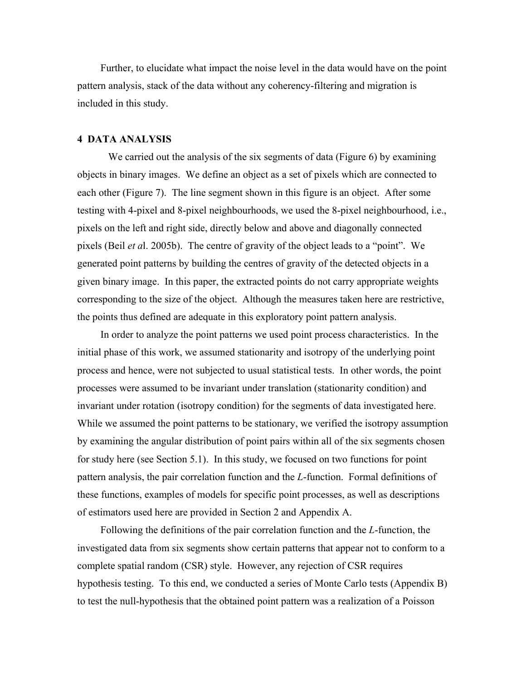Further, to elucidate what impact the noise level in the data would have on the point pattern analysis, stack of the data without any coherency-filtering and migration is included in this study.

## **4 DATA ANALYSIS**

We carried out the analysis of the six segments of data (Figure 6) by examining objects in binary images. We define an object as a set of pixels which are connected to each other (Figure 7). The line segment shown in this figure is an object. After some testing with 4-pixel and 8-pixel neighbourhoods, we used the 8-pixel neighbourhood, i.e., pixels on the left and right side, directly below and above and diagonally connected pixels (Beil *et a*l. 2005b). The centre of gravity of the object leads to a "point". We generated point patterns by building the centres of gravity of the detected objects in a given binary image. In this paper, the extracted points do not carry appropriate weights corresponding to the size of the object. Although the measures taken here are restrictive, the points thus defined are adequate in this exploratory point pattern analysis.

In order to analyze the point patterns we used point process characteristics. In the initial phase of this work, we assumed stationarity and isotropy of the underlying point process and hence, were not subjected to usual statistical tests. In other words, the point processes were assumed to be invariant under translation (stationarity condition) and invariant under rotation (isotropy condition) for the segments of data investigated here. While we assumed the point patterns to be stationary, we verified the isotropy assumption by examining the angular distribution of point pairs within all of the six segments chosen for study here (see Section 5.1). In this study, we focused on two functions for point pattern analysis, the pair correlation function and the *L*-function. Formal definitions of these functions, examples of models for specific point processes, as well as descriptions of estimators used here are provided in Section 2 and Appendix A.

Following the definitions of the pair correlation function and the *L*-function, the investigated data from six segments show certain patterns that appear not to conform to a complete spatial random (CSR) style. However, any rejection of CSR requires hypothesis testing. To this end, we conducted a series of Monte Carlo tests (Appendix B) to test the null-hypothesis that the obtained point pattern was a realization of a Poisson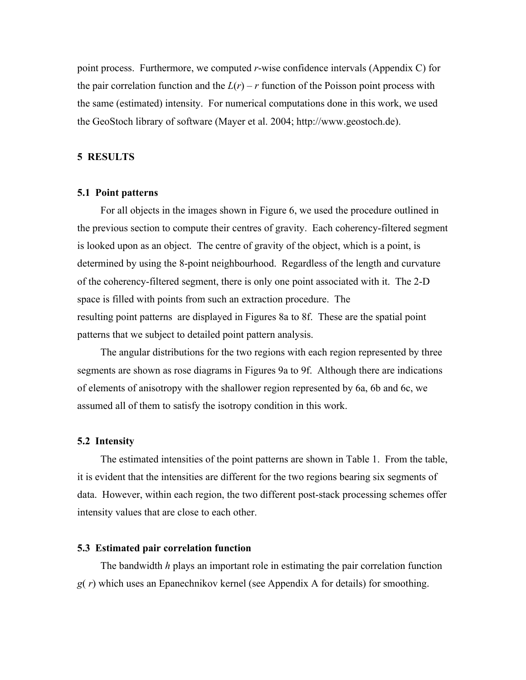point process. Furthermore, we computed *r*-wise confidence intervals (Appendix C) for the pair correlation function and the  $L(r) - r$  function of the Poisson point process with the same (estimated) intensity. For numerical computations done in this work, we used the GeoStoch library of software (Mayer et al. 2004; http://www.geostoch.de).

## **5 RESULTS**

#### **5.1 Point patterns**

For all objects in the images shown in Figure 6, we used the procedure outlined in the previous section to compute their centres of gravity. Each coherency-filtered segment is looked upon as an object. The centre of gravity of the object, which is a point, is determined by using the 8-point neighbourhood. Regardless of the length and curvature of the coherency-filtered segment, there is only one point associated with it. The 2-D space is filled with points from such an extraction procedure. The resulting point patterns are displayed in Figures 8a to 8f. These are the spatial point patterns that we subject to detailed point pattern analysis.

The angular distributions for the two regions with each region represented by three segments are shown as rose diagrams in Figures 9a to 9f. Although there are indications of elements of anisotropy with the shallower region represented by 6a, 6b and 6c, we assumed all of them to satisfy the isotropy condition in this work.

## **5.2 Intensity**

The estimated intensities of the point patterns are shown in Table 1. From the table, it is evident that the intensities are different for the two regions bearing six segments of data. However, within each region, the two different post-stack processing schemes offer intensity values that are close to each other.

## **5.3 Estimated pair correlation function**

The bandwidth *h* plays an important role in estimating the pair correlation function *g*( *r*) which uses an Epanechnikov kernel (see Appendix A for details) for smoothing.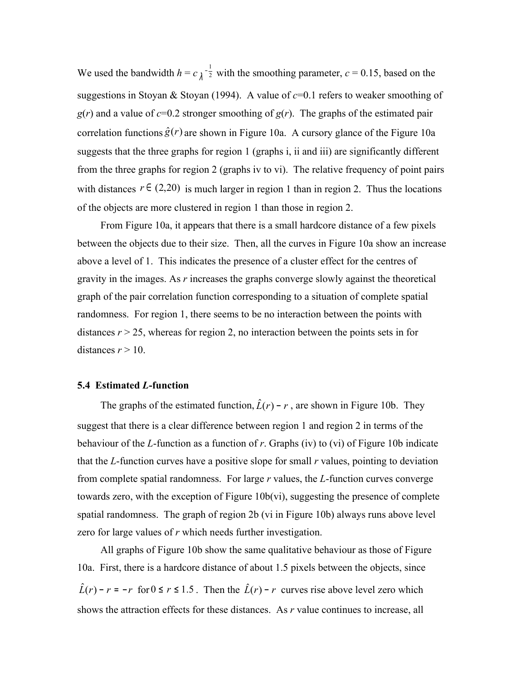We used the bandwidth  $h = c \frac{1}{\lambda}$  with the smoothing parameter,  $c = 0.15$ , based on the suggestions in Stoyan  $\&$  Stoyan (1994). A value of  $c=0.1$  refers to weaker smoothing of  $g(r)$  and a value of  $c=0.2$  stronger smoothing of  $g(r)$ . The graphs of the estimated pair correlation functions  $\hat{g}(r)$  are shown in Figure 10a. A cursory glance of the Figure 10a suggests that the three graphs for region 1 (graphs i, ii and iii) are significantly different from the three graphs for region 2 (graphs iv to vi). The relative frequency of point pairs with distances  $r \in (2,20)$  is much larger in region 1 than in region 2. Thus the locations of the objects are more clustered in region 1 than those in region 2.

From Figure 10a, it appears that there is a small hardcore distance of a few pixels between the objects due to their size. Then, all the curves in Figure 10a show an increase above a level of 1. This indicates the presence of a cluster effect for the centres of gravity in the images. As *r* increases the graphs converge slowly against the theoretical graph of the pair correlation function corresponding to a situation of complete spatial randomness. For region 1, there seems to be no interaction between the points with distances  $r > 25$ , whereas for region 2, no interaction between the points sets in for distances  $r > 10$ .

#### **5.4 Estimated** *L***-function**

The graphs of the estimated function,  $\hat{L}(r)$  – r, are shown in Figure 10b. They suggest that there is a clear difference between region 1 and region 2 in terms of the behaviour of the *L*-function as a function of *r*. Graphs (iv) to (vi) of Figure 10b indicate that the *L*-function curves have a positive slope for small *r* values, pointing to deviation from complete spatial randomness. For large *r* values, the *L*-function curves converge towards zero, with the exception of Figure 10b(vi), suggesting the presence of complete spatial randomness. The graph of region 2b (vi in Figure 10b) always runs above level zero for large values of *r* which needs further investigation.

All graphs of Figure 10b show the same qualitative behaviour as those of Figure 10a. First, there is a hardcore distance of about 1.5 pixels between the objects, since  $\hat{L}(r)$  − *r* = − *r* for 0 ≤ *r* ≤ 1.5. Then the  $\hat{L}(r)$  − *r* curves rise above level zero which shows the attraction effects for these distances. As *r* value continues to increase, all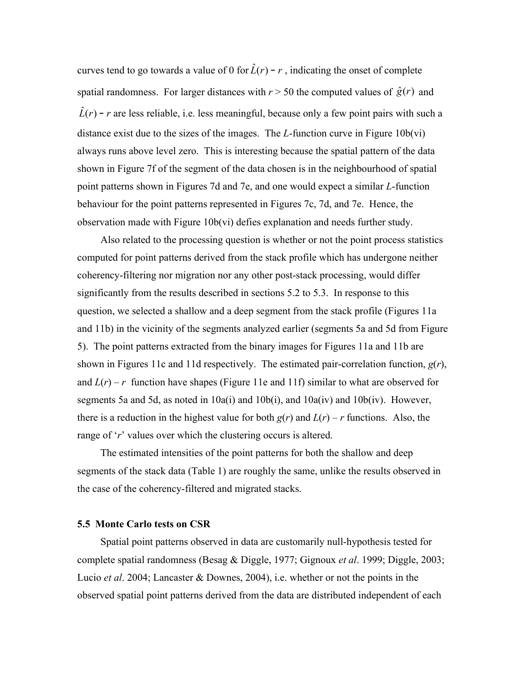curves tend to go towards a value of 0 for  $\hat{L}(r)$  – r, indicating the onset of complete spatial randomness. For larger distances with  $r > 50$  the computed values of  $\hat{g}(r)$  and  $\hat{L}(r)$  – *r* are less reliable, i.e. less meaningful, because only a few point pairs with such a distance exist due to the sizes of the images. The *L*-function curve in Figure 10b(vi) always runs above level zero. This is interesting because the spatial pattern of the data shown in Figure 7f of the segment of the data chosen is in the neighbourhood of spatial point patterns shown in Figures 7d and 7e, and one would expect a similar *L*-function behaviour for the point patterns represented in Figures 7c, 7d, and 7e. Hence, the observation made with Figure 10b(vi) defies explanation and needs further study.

Also related to the processing question is whether or not the point process statistics computed for point patterns derived from the stack profile which has undergone neither coherency-filtering nor migration nor any other post-stack processing, would differ significantly from the results described in sections 5.2 to 5.3. In response to this question, we selected a shallow and a deep segment from the stack profile (Figures 11a and 11b) in the vicinity of the segments analyzed earlier (segments 5a and 5d from Figure 5). The point patterns extracted from the binary images for Figures 11a and 11b are shown in Figures 11c and 11d respectively. The estimated pair-correlation function, *g*(*r*), and  $L(r) - r$  function have shapes (Figure 11e and 11f) similar to what are observed for segments 5a and 5d, as noted in 10a(i) and 10b(i), and 10a(iv) and 10b(iv). However, there is a reduction in the highest value for both  $g(r)$  and  $L(r) - r$  functions. Also, the range of '*r*' values over which the clustering occurs is altered.

The estimated intensities of the point patterns for both the shallow and deep segments of the stack data (Table 1) are roughly the same, unlike the results observed in the case of the coherency-filtered and migrated stacks.

## **5.5 Monte Carlo tests on CSR**

Spatial point patterns observed in data are customarily null-hypothesis tested for complete spatial randomness (Besag & Diggle, 1977; Gignoux *et al*. 1999; Diggle, 2003; Lucio *et al*. 2004; Lancaster & Downes, 2004), i.e. whether or not the points in the observed spatial point patterns derived from the data are distributed independent of each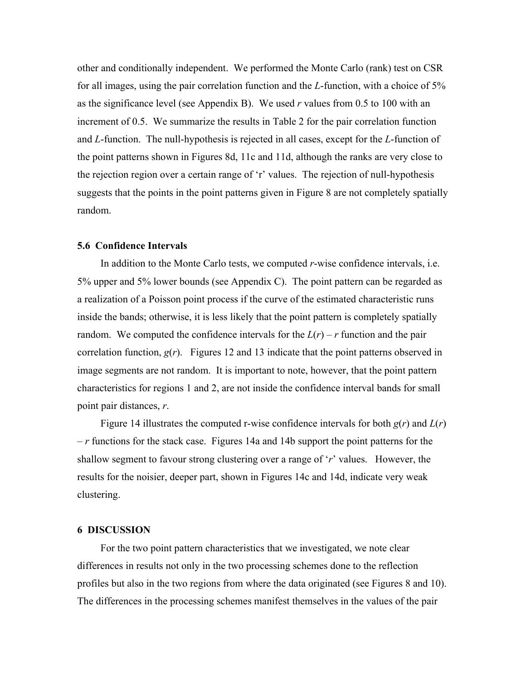other and conditionally independent. We performed the Monte Carlo (rank) test on CSR for all images, using the pair correlation function and the *L*-function, with a choice of 5% as the significance level (see Appendix B). We used *r* values from 0.5 to 100 with an increment of 0.5. We summarize the results in Table 2 for the pair correlation function and *L*-function. The null-hypothesis is rejected in all cases, except for the *L*-function of the point patterns shown in Figures 8d, 11c and 11d, although the ranks are very close to the rejection region over a certain range of 'r' values. The rejection of null-hypothesis suggests that the points in the point patterns given in Figure 8 are not completely spatially random.

## **5.6 Confidence Intervals**

In addition to the Monte Carlo tests, we computed *r*-wise confidence intervals, i.e. 5% upper and 5% lower bounds (see Appendix C). The point pattern can be regarded as a realization of a Poisson point process if the curve of the estimated characteristic runs inside the bands; otherwise, it is less likely that the point pattern is completely spatially random. We computed the confidence intervals for the  $L(r) - r$  function and the pair correlation function,  $g(r)$ . Figures 12 and 13 indicate that the point patterns observed in image segments are not random. It is important to note, however, that the point pattern characteristics for regions 1 and 2, are not inside the confidence interval bands for small point pair distances, *r*.

Figure 14 illustrates the computed r-wise confidence intervals for both *g*(*r*) and *L*(*r*) – *r* functions for the stack case. Figures 14a and 14b support the point patterns for the shallow segment to favour strong clustering over a range of '*r*' values. However, the results for the noisier, deeper part, shown in Figures 14c and 14d, indicate very weak clustering.

#### **6 DISCUSSION**

For the two point pattern characteristics that we investigated, we note clear differences in results not only in the two processing schemes done to the reflection profiles but also in the two regions from where the data originated (see Figures 8 and 10). The differences in the processing schemes manifest themselves in the values of the pair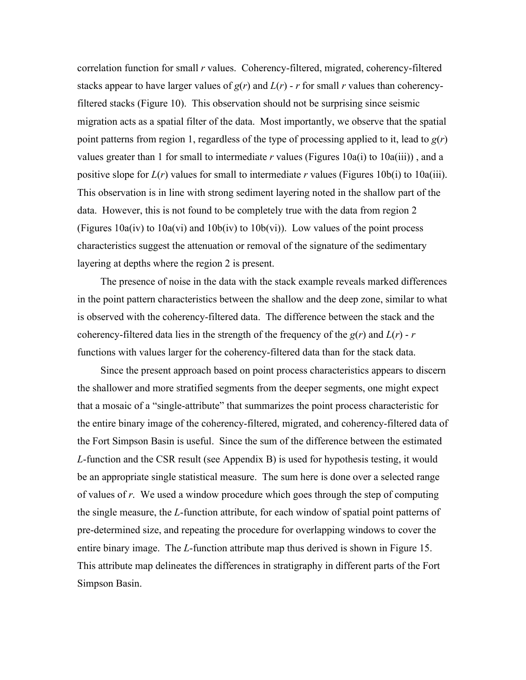correlation function for small *r* values. Coherency-filtered, migrated, coherency-filtered stacks appear to have larger values of  $g(r)$  and  $L(r)$  - r for small r values than coherencyfiltered stacks (Figure 10). This observation should not be surprising since seismic migration acts as a spatial filter of the data. Most importantly, we observe that the spatial point patterns from region 1, regardless of the type of processing applied to it, lead to *g*(*r*) values greater than 1 for small to intermediate *r* values (Figures 10a(i) to 10a(iii)), and a positive slope for  $L(r)$  values for small to intermediate *r* values (Figures 10b(i) to 10a(iii). This observation is in line with strong sediment layering noted in the shallow part of the data. However, this is not found to be completely true with the data from region 2 (Figures  $10a(iv)$  to  $10a(vi)$  and  $10b(iv)$  to  $10b(vi)$ ). Low values of the point process characteristics suggest the attenuation or removal of the signature of the sedimentary layering at depths where the region 2 is present.

The presence of noise in the data with the stack example reveals marked differences in the point pattern characteristics between the shallow and the deep zone, similar to what is observed with the coherency-filtered data. The difference between the stack and the coherency-filtered data lies in the strength of the frequency of the  $g(r)$  and  $L(r)$  -  $r$ functions with values larger for the coherency-filtered data than for the stack data.

Since the present approach based on point process characteristics appears to discern the shallower and more stratified segments from the deeper segments, one might expect that a mosaic of a "single-attribute" that summarizes the point process characteristic for the entire binary image of the coherency-filtered, migrated, and coherency-filtered data of the Fort Simpson Basin is useful. Since the sum of the difference between the estimated *L*-function and the CSR result (see Appendix B) is used for hypothesis testing, it would be an appropriate single statistical measure. The sum here is done over a selected range of values of *r*. We used a window procedure which goes through the step of computing the single measure, the *L*-function attribute, for each window of spatial point patterns of pre-determined size, and repeating the procedure for overlapping windows to cover the entire binary image. The *L*-function attribute map thus derived is shown in Figure 15. This attribute map delineates the differences in stratigraphy in different parts of the Fort Simpson Basin.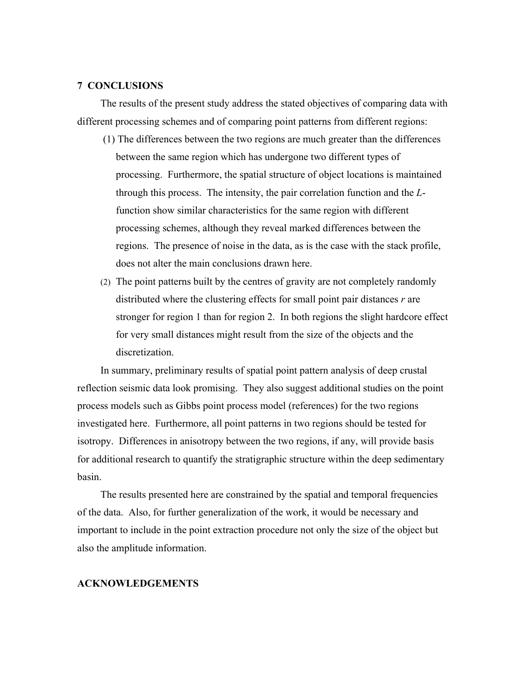#### **7 CONCLUSIONS**

The results of the present study address the stated objectives of comparing data with different processing schemes and of comparing point patterns from different regions:

- (1) The differences between the two regions are much greater than the differences between the same region which has undergone two different types of processing. Furthermore, the spatial structure of object locations is maintained through this process. The intensity, the pair correlation function and the *L*function show similar characteristics for the same region with different processing schemes, although they reveal marked differences between the regions. The presence of noise in the data, as is the case with the stack profile, does not alter the main conclusions drawn here.
- (2) The point patterns built by the centres of gravity are not completely randomly distributed where the clustering effects for small point pair distances *r* are stronger for region 1 than for region 2. In both regions the slight hardcore effect for very small distances might result from the size of the objects and the discretization.

In summary, preliminary results of spatial point pattern analysis of deep crustal reflection seismic data look promising. They also suggest additional studies on the point process models such as Gibbs point process model (references) for the two regions investigated here. Furthermore, all point patterns in two regions should be tested for isotropy. Differences in anisotropy between the two regions, if any, will provide basis for additional research to quantify the stratigraphic structure within the deep sedimentary basin.

The results presented here are constrained by the spatial and temporal frequencies of the data. Also, for further generalization of the work, it would be necessary and important to include in the point extraction procedure not only the size of the object but also the amplitude information.

### **ACKNOWLEDGEMENTS**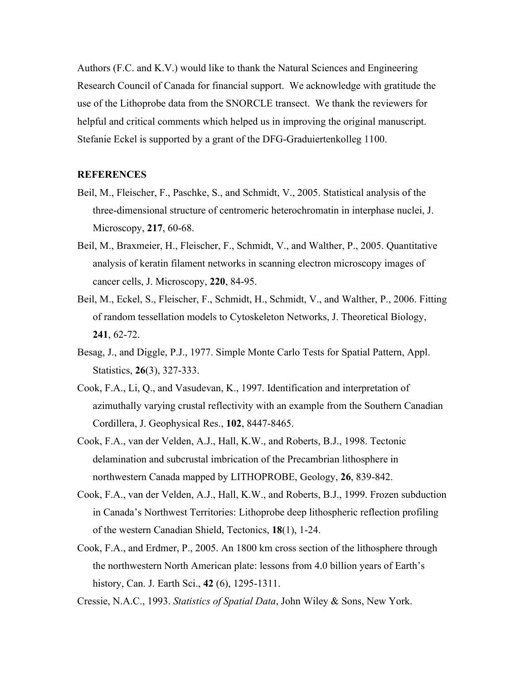Authors (F.C. and K.V.) would like to thank the Natural Sciences and Engineering Research Council of Canada for financial support. We acknowledge with gratitude the use of the Lithoprobe data from the SNORCLE transect. We thank the reviewers for helpful and critical comments which helped us in improving the original manuscript. Stefanie Eckel is supported by a grant of the DFG-Graduiertenkolleg 1100.

## **REFERENCES**

- Beil, M., Fleischer, F., Paschke, S., and Schmidt, V., 2005. Statistical analysis of the three-dimensional structure of centromeric heterochromatin in interphase nuclei, J. Microscopy, **217**, 60-68.
- Beil, M., Braxmeier, H., Fleischer, F., Schmidt, V., and Walther, P., 2005. Quantitative analysis of keratin filament networks in scanning electron microscopy images of cancer cells, J. Microscopy, **220**, 84-95.
- Beil, M., Eckel, S., Fleischer, F., Schmidt, H., Schmidt, V., and Walther, P., 2006. Fitting of random tessellation models to Cytoskeleton Networks, J. Theoretical Biology, **241**, 62-72.
- Besag, J., and Diggle, P.J., 1977. Simple Monte Carlo Tests for Spatial Pattern, Appl. Statistics, **26**(3), 327-333.
- Cook, F.A., Li, Q., and Vasudevan, K., 1997. Identification and interpretation of azimuthally varying crustal reflectivity with an example from the Southern Canadian Cordillera, J. Geophysical Res., **102**, 8447-8465.
- Cook, F.A., van der Velden, A.J., Hall, K.W., and Roberts, B.J., 1998. Tectonic delamination and subcrustal imbrication of the Precambrian lithosphere in northwestern Canada mapped by LITHOPROBE, Geology, **26**, 839-842.
- Cook, F.A., van der Velden, A.J., Hall, K.W., and Roberts, B.J., 1999. Frozen subduction in Canada's Northwest Territories: Lithoprobe deep lithospheric reflection profiling of the western Canadian Shield, Tectonics, **18**(1), 1-24.
- Cook, F.A., and Erdmer, P., 2005. An 1800 km cross section of the lithosphere through the northwestern North American plate: lessons from 4.0 billion years of Earth's history, Can. J. Earth Sci., **42** (6), 1295-1311.

Cressie, N.A.C., 1993. *Statistics of Spatial Data*, John Wiley & Sons, New York.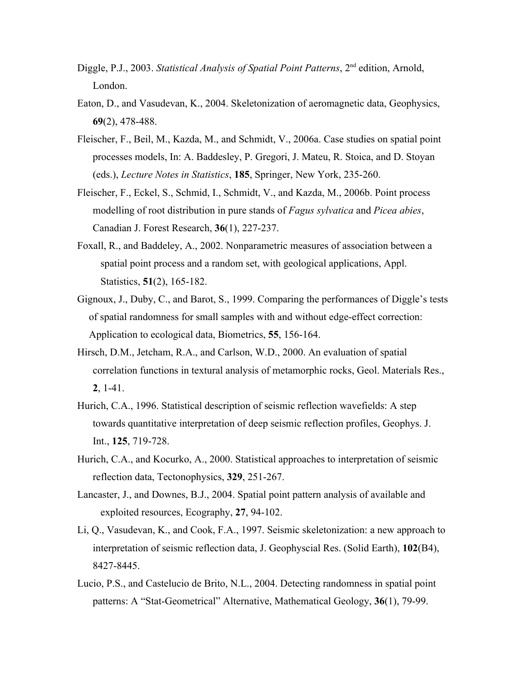- Diggle, P.J., 2003. *Statistical Analysis of Spatial Point Patterns*, 2<sup>nd</sup> edition, Arnold, London.
- Eaton, D., and Vasudevan, K., 2004. Skeletonization of aeromagnetic data, Geophysics, **69**(2), 478-488.
- Fleischer, F., Beil, M., Kazda, M., and Schmidt, V., 2006a. Case studies on spatial point processes models, In: A. Baddesley, P. Gregori, J. Mateu, R. Stoica, and D. Stoyan (eds.), *Lecture Notes in Statistics*, **185**, Springer, New York, 235-260.
- Fleischer, F., Eckel, S., Schmid, I., Schmidt, V., and Kazda, M., 2006b. Point process modelling of root distribution in pure stands of *Fagus sylvatica* and *Picea abies*, Canadian J. Forest Research, **36**(1), 227-237.
- Foxall, R., and Baddeley, A., 2002. Nonparametric measures of association between a spatial point process and a random set, with geological applications, Appl. Statistics, **51**(2), 165-182.
- Gignoux, J., Duby, C., and Barot, S., 1999. Comparing the performances of Diggle's tests of spatial randomness for small samples with and without edge-effect correction: Application to ecological data, Biometrics, **55**, 156-164.
- Hirsch, D.M., Jetcham, R.A., and Carlson, W.D., 2000. An evaluation of spatial correlation functions in textural analysis of metamorphic rocks, Geol. Materials Res., **2**, 1-41.
- Hurich, C.A., 1996. Statistical description of seismic reflection wavefields: A step towards quantitative interpretation of deep seismic reflection profiles, Geophys. J. Int., **125**, 719-728.
- Hurich, C.A., and Kocurko, A., 2000. Statistical approaches to interpretation of seismic reflection data, Tectonophysics, **329**, 251-267.
- Lancaster, J., and Downes, B.J., 2004. Spatial point pattern analysis of available and exploited resources, Ecography, **27**, 94-102.
- Li, Q., Vasudevan, K., and Cook, F.A., 1997. Seismic skeletonization: a new approach to interpretation of seismic reflection data, J. Geophyscial Res. (Solid Earth), **102**(B4), 8427-8445.
- Lucio, P.S., and Castelucio de Brito, N.L., 2004. Detecting randomness in spatial point patterns: A "Stat-Geometrical" Alternative, Mathematical Geology, **36**(1), 79-99.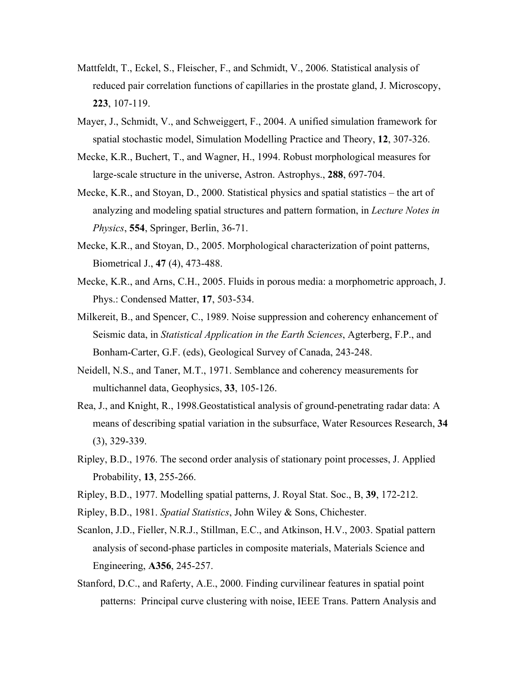- Mattfeldt, T., Eckel, S., Fleischer, F., and Schmidt, V., 2006. Statistical analysis of reduced pair correlation functions of capillaries in the prostate gland, J. Microscopy, **223**, 107-119.
- Mayer, J., Schmidt, V., and Schweiggert, F., 2004. A unified simulation framework for spatial stochastic model, Simulation Modelling Practice and Theory, **12**, 307-326.
- Mecke, K.R., Buchert, T., and Wagner, H., 1994. Robust morphological measures for large-scale structure in the universe, Astron. Astrophys., **288**, 697-704.
- Mecke, K.R., and Stoyan, D., 2000. Statistical physics and spatial statistics the art of analyzing and modeling spatial structures and pattern formation, in *Lecture Notes in Physics*, **554**, Springer, Berlin, 36-71.
- Mecke, K.R., and Stoyan, D., 2005. Morphological characterization of point patterns, Biometrical J., **47** (4), 473-488.
- Mecke, K.R., and Arns, C.H., 2005. Fluids in porous media: a morphometric approach, J. Phys.: Condensed Matter, **17**, 503-534.
- Milkereit, B., and Spencer, C., 1989. Noise suppression and coherency enhancement of Seismic data, in *Statistical Application in the Earth Sciences*, Agterberg, F.P., and Bonham-Carter, G.F. (eds), Geological Survey of Canada, 243-248.
- Neidell, N.S., and Taner, M.T., 1971. Semblance and coherency measurements for multichannel data, Geophysics, **33**, 105-126.
- Rea, J., and Knight, R., 1998.Geostatistical analysis of ground-penetrating radar data: A means of describing spatial variation in the subsurface, Water Resources Research, **34** (3), 329-339.
- Ripley, B.D., 1976. The second order analysis of stationary point processes, J. Applied Probability, **13**, 255-266.
- Ripley, B.D., 1977. Modelling spatial patterns, J. Royal Stat. Soc., B, **39**, 172-212.
- Ripley, B.D., 1981. *Spatial Statistics*, John Wiley & Sons, Chichester.
- Scanlon, J.D., Fieller, N.R.J., Stillman, E.C., and Atkinson, H.V., 2003. Spatial pattern analysis of second-phase particles in composite materials, Materials Science and Engineering, **A356**, 245-257.
- Stanford, D.C., and Raferty, A.E., 2000. Finding curvilinear features in spatial point patterns: Principal curve clustering with noise, IEEE Trans. Pattern Analysis and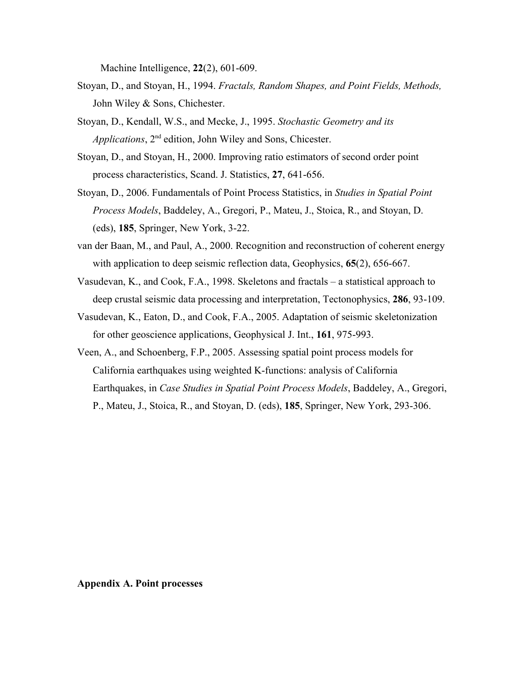Machine Intelligence, **22**(2), 601-609.

- Stoyan, D., and Stoyan, H., 1994. *Fractals, Random Shapes, and Point Fields, Methods,*  John Wiley & Sons, Chichester.
- Stoyan, D., Kendall, W.S., and Mecke, J., 1995. *Stochastic Geometry and its* Applications, 2<sup>nd</sup> edition, John Wiley and Sons, Chicester.
- Stoyan, D., and Stoyan, H., 2000. Improving ratio estimators of second order point process characteristics, Scand. J. Statistics, **27**, 641-656.
- Stoyan, D., 2006. Fundamentals of Point Process Statistics, in *Studies in Spatial Point Process Models*, Baddeley, A., Gregori, P., Mateu, J., Stoica, R., and Stoyan, D. (eds), **185**, Springer, New York, 3-22.
- van der Baan, M., and Paul, A., 2000. Recognition and reconstruction of coherent energy with application to deep seismic reflection data, Geophysics, **65**(2), 656-667.
- Vasudevan, K., and Cook, F.A., 1998. Skeletons and fractals a statistical approach to deep crustal seismic data processing and interpretation, Tectonophysics, **286**, 93-109.
- Vasudevan, K., Eaton, D., and Cook, F.A., 2005. Adaptation of seismic skeletonization for other geoscience applications, Geophysical J. Int., **161**, 975-993.
- Veen, A., and Schoenberg, F.P., 2005. Assessing spatial point process models for California earthquakes using weighted K-functions: analysis of California Earthquakes, in *Case Studies in Spatial Point Process Models*, Baddeley, A., Gregori, P., Mateu, J., Stoica, R., and Stoyan, D. (eds), **185**, Springer, New York, 293-306.

## **Appendix A. Point processes**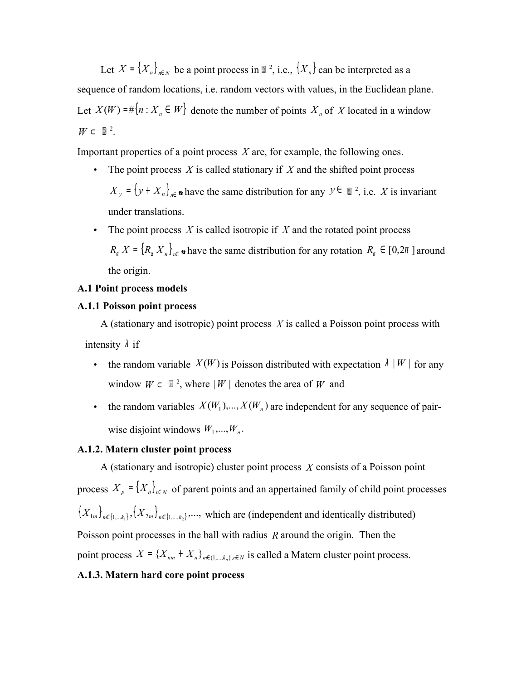Let  $X = \{X_n\}_{n \in \mathbb{N}}$  be a point process in  $\mathbb{R}^2$ , i.e.,  $\{X_n\}$  can be interpreted as a sequence of random locations, i.e. random vectors with values, in the Euclidean plane. Let  $X(W) = \#\{n : X_n \in W\}$  denote the number of points  $X_n$  of X located in a window  $W \subset \Box$ <sup>2</sup>.

Important properties of a point process *X* are, for example, the following ones.

- The point process  $X$  is called stationary if  $X$  and the shifted point process  $X_y = \{y \in X_n\}_{n \in \mathbb{Z}}$  whave the same distribution for any  $y \in \mathbb{R}^2$ , i.e. *X* is invariant under translations.
- The point process *X* is called isotropic if *X* and the rotated point process  $R_{\alpha} X = \{ R_{\alpha} X_n \}_{n \in \mathbb{Z}}$  **a** have the same distribution for any rotation  $R_{\alpha} \in [0, 2\pi]$  around the origin.

## **A.1 Point process models**

## **A.1.1 Poisson point process**

A (stationary and isotropic) point process *X* is called a Poisson point process with intensity  $\lambda$  if

- the random variable  $X(W)$  is Poisson distributed with expectation  $\lambda |W|$  for any window  $W \subset \mathbb{R}^2$ , where  $|W|$  denotes the area of *W* and
- the random variables  $X(W_1),..., X(W_n)$  are independent for any sequence of pairwise disjoint windows  $W_1, \ldots, W_n$ .

## **A.1.2. Matern cluster point process**

A (stationary and isotropic) cluster point process *X* consists of a Poisson point process  $X_p = \{X_n\}_{n \in \mathbb{N}}$  of parent points and an appertained family of child point processes  ${X_{1}}_{m}$ ,  ${X_{2}}_{m}$ ,  ${X_{2}}_{m}$ ,  ${X_{2}}_{m}$ ,  ${X_{2}}_{m}$ , which are (independent and identically distributed) Poisson point processes in the ball with radius *R* around the origin. Then the point process  $X = \{X_{nm} + X_n\}_{m \in \{1,\ldots,k_n\},\kappa}$  is called a Matern cluster point process.

## **A.1.3. Matern hard core point process**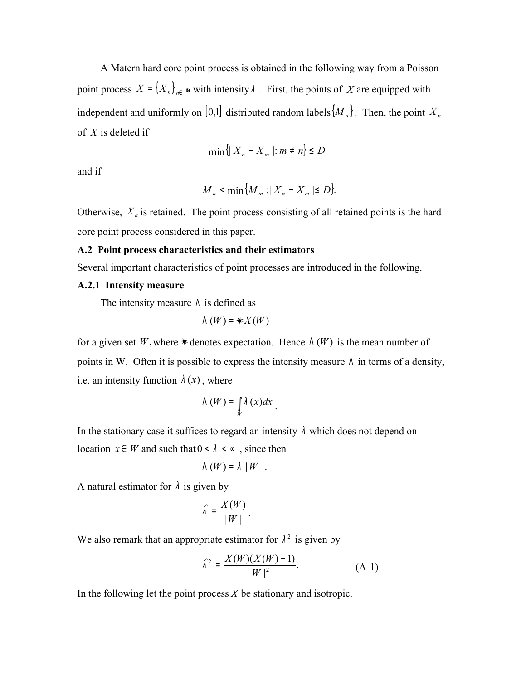A Matern hard core point process is obtained in the following way from a Poisson point process  $X = \{X_n\}_{n \in \mathbb{N}}$  with intensity  $\lambda$ . First, the points of *X* are equipped with independent and uniformly on [0,1] distributed random labels  $\{M_n\}$ . Then, the point  $X_n$ of *X* is deleted if

$$
\min\{X_n - X_m \mid m \neq n\} \leq D
$$

and if

$$
M_n < \min\{M_m : |X_n - X_m| \le D\}.
$$

Otherwise,  $X_n$  is retained. The point process consisting of all retained points is the hard core point process considered in this paper.

## **A.2 Point process characteristics and their estimators**

Several important characteristics of point processes are introduced in the following.

## **A.2.1 Intensity measure**

The intensity measure  $\Lambda$  is defined as

$$
\Lambda(W) = *X(W)
$$

for a given set *W*, where  $*$  denotes expectation. Hence  $\Lambda(W)$  is the mean number of points in W. Often it is possible to express the intensity measure  $\Lambda$  in terms of a density, i.e. an intensity function  $\lambda(x)$ , where

$$
\Lambda(W) = \int\limits_W \lambda(x) dx
$$

In the stationary case it suffices to regard an intensity  $\lambda$  which does not depend on location  $x \in W$  and such that  $0 \le \lambda \le \infty$ , since then

$$
\Lambda(W) = \lambda |W|.
$$

A natural estimator for  $\lambda$  is given by

$$
\hat{\lambda} = \frac{X(W)}{|W|}.
$$

We also remark that an appropriate estimator for  $\lambda^2$  is given by

$$
\hat{\lambda}^2 = \frac{X(W)(X(W) - 1)}{|W|^2}.
$$
 (A-1)

In the following let the point process *X* be stationary and isotropic.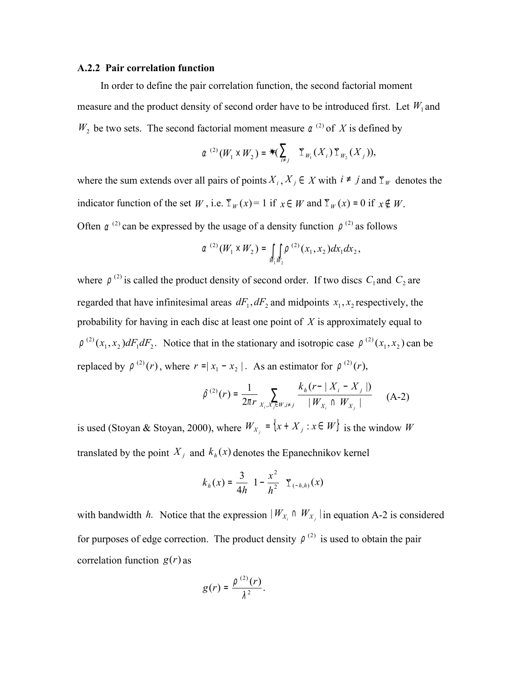### **A.2.2 Pair correlation function**

In order to define the pair correlation function, the second factorial moment measure and the product density of second order have to be introduced first. Let  $W_1$  and  $W_2$  be two sets. The second factorial moment measure  $\alpha^{(2)}$  of *X* is defined by

$$
\alpha^{(2)}(W_1 \times W_2) = \mathbb{H}(\sum_{i \neq j} \mathbb{I}_{W_1}(X_i) \mathbb{I}_{W_2}(X_j)),
$$

where the sum extends over all pairs of points  $X_i$ ,  $X_j \in X$  with  $i \neq j$  and  $Y_w$  denotes the indicator function of the set *W*, i.e.  $\mathbf{Y}_W(x) = 1$  if  $x \in W$  and  $\mathbf{Y}_W(x) = 0$  if  $x \notin W$ .

Often  $\alpha^{(2)}$  can be expressed by the usage of a density function  $\rho^{(2)}$  as follows

$$
\alpha^{(2)}(W_1 \times W_2) = \iint_{W_1 W_2} \rho^{(2)}(x_1, x_2) dx_1 dx_2,
$$

where  $\rho^{(2)}$  is called the product density of second order. If two discs  $C_1$  and  $C_2$  are regarded that have infinitesimal areas  $dF_1$ ,  $dF_2$  and midpoints  $x_1$ ,  $x_2$  respectively, the probability for having in each disc at least one point of *X* is approximately equal to  $(x_1, x_2) dF_1 dF_2$ .  $\rho^{(2)}(x_1, x_2) dF_1 dF_2$ . Notice that in the stationary and isotropic case  $\rho^{(2)}(x_1, x_2)$  $\rho^{(2)}(x_1, x_2)$  can be replaced by  $\rho^{(2)}(r)$ , where  $r = |x_1 - x_2|$ . As an estimator for  $\rho^{(2)}(r)$ ,

$$
\hat{\rho}^{(2)}(r) = \frac{1}{2\pi r} \sum_{X_i, X_j \in W, i \neq j} \frac{k_h(r - |X_i - X_j|)}{|W_{X_i} \cap W_{X_j}|} \qquad (A-2)
$$

is used (Stoyan & Stoyan, 2000), where  $W_{X_i} = \{x \in \mathcal{X}_i : x \in \mathcal{W}\}\)$  is the window  $\mathcal{W}$ translated by the point  $X_j$  and  $k_h(x)$  denotes the Epanechnikov kernel

$$
k_{h}(x) = \frac{3}{4h} \left( 1 - \frac{x^{2}}{h^{2}} \right) \sum_{(\text{- } h, h)} (x)
$$

with bandwidth *h*. Notice that the expression  $|W_{X_i} \cap W_{X_j}|$  in equation A-2 is considered for purposes of edge correction. The product density  $\rho^{(2)}$  is used to obtain the pair correlation function  $g(r)$  as

$$
g(r)=\frac{\rho^{(2)}(r)}{\lambda^2}.
$$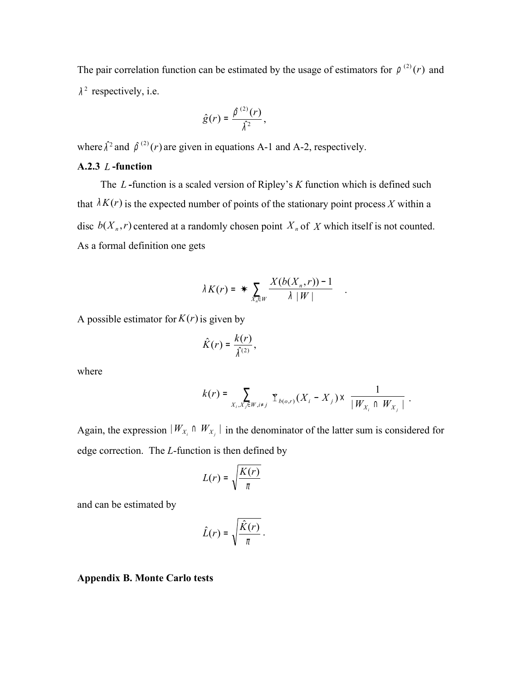The pair correlation function can be estimated by the usage of estimators for  $\rho^{(2)}(r)$  and  $\lambda^2$  respectively, i.e.

$$
\hat{g}(r) = \frac{\hat{\rho}^{(2)}(r)}{\hat{\lambda}^2},
$$

where  $\hat{\lambda}^2$  and  $\hat{\rho}^{(2)}(r)$  are given in equations A-1 and A-2, respectively.

## **A.2.3** *L* **-function**

The *L* **-**function is a scaled version of Ripley's *K* function which is defined such that  $\lambda K(r)$  is the expected number of points of the stationary point process X within a disc  $b(X_n, r)$  centered at a randomly chosen point  $X_n$  of  $X$  which itself is not counted. As a formal definition one gets

$$
\lambda K(r) = \mathbf{F} \sum_{X_n \in W} \frac{X(b(X_n, r)) - 1}{\lambda |W|}
$$

A possible estimator for  $K(r)$  is given by

$$
\hat{K}(r) = \frac{k(r)}{\hat{\lambda}^{(2)}},
$$

where

$$
k(r) = \sum_{X_i, X_j \in W, i \neq j} \ \Psi_{b(o,r)}(X_i - X_j) \times \ \frac{1}{|W_{X_i} \cap W_{X_j}|}
$$

.

.

Again, the expression  $|W_{X_i} \cap W_{X_j}|$  in the denominator of the latter sum is considered for edge correction. The *L*-function is then defined by

$$
L(r) = \sqrt{\frac{K(r)}{\pi}}
$$

and can be estimated by

$$
\hat{L}(r) = \sqrt{\frac{\hat{K}(r)}{\pi}}.
$$

## **Appendix B. Monte Carlo tests**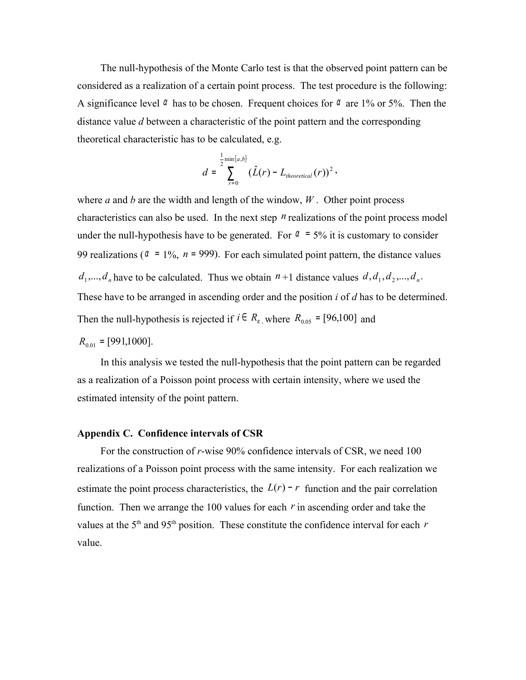The null-hypothesis of the Monte Carlo test is that the observed point pattern can be considered as a realization of a certain point process. The test procedure is the following: A significance level  $\alpha$  has to be chosen. Frequent choices for  $\alpha$  are 1% or 5%. Then the distance value *d* between a characteristic of the point pattern and the corresponding theoretical characteristic has to be calculated, e.g.

$$
d = \sum_{r=0}^{\frac{1}{2}\min\{a,b\}} (\hat{L}(r) - L_{theoretical}(r))^2,
$$

where *a* and *b* are the width and length of the window,  $W$ . Other point process characteristics can also be used. In the next step *n* realizations of the point process model under the null-hypothesis have to be generated. For  $\alpha = 5\%$  it is customary to consider 99 realizations ( $\alpha$  = 1%,  $n$  = 999). For each simulated point pattern, the distance values  $d_1$ ,..., $d_n$  have to be calculated. Thus we obtain  $n+1$  distance values  $d, d_1, d_2, ..., d_n$ . These have to be arranged in ascending order and the position *i* of *d* has to be determined. Then the null-hypothesis is rejected if  $i \in R_{\alpha}$ , where  $R_{0.05} = [96,100]$  and

$$
R_{0.01} = [991,1000].
$$

In this analysis we tested the null-hypothesis that the point pattern can be regarded as a realization of a Poisson point process with certain intensity, where we used the estimated intensity of the point pattern.

#### **Appendix C. Confidence intervals of CSR**

For the construction of *r*-wise 90% confidence intervals of CSR, we need 100 realizations of a Poisson point process with the same intensity. For each realization we estimate the point process characteristics, the  $L(r)$  - *r* function and the pair correlation function. Then we arrange the 100 values for each  $r$  in ascending order and take the values at the  $5<sup>th</sup>$  and  $95<sup>th</sup>$  position. These constitute the confidence interval for each  $r$ value.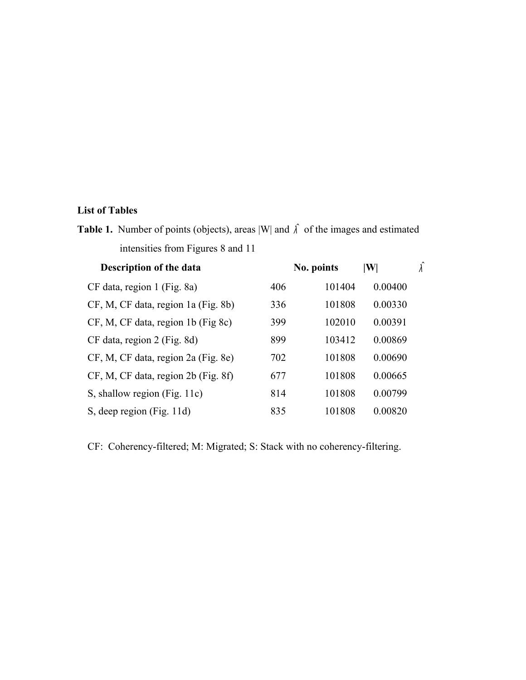# **List of Tables**

**Table 1.** Number of points (objects), areas  $|W|$  and  $\hat{\lambda}$  of the images and estimated intensities from Figures 8 and 11

| Description of the data             |     | No. points | $ \mathbf{W} $ | $\hat{\lambda}$ |
|-------------------------------------|-----|------------|----------------|-----------------|
| CF data, region 1 (Fig. 8a)         | 406 | 101404     | 0.00400        |                 |
| CF, M, CF data, region 1a (Fig. 8b) | 336 | 101808     | 0.00330        |                 |
| CF, M, CF data, region 1b (Fig 8c)  | 399 | 102010     | 0.00391        |                 |
| CF data, region 2 (Fig. 8d)         | 899 | 103412     | 0.00869        |                 |
| CF, M, CF data, region 2a (Fig. 8e) | 702 | 101808     | 0.00690        |                 |
| CF, M, CF data, region 2b (Fig. 8f) | 677 | 101808     | 0.00665        |                 |
| S, shallow region (Fig. 11c)        | 814 | 101808     | 0.00799        |                 |
| S, deep region (Fig. 11d)           | 835 | 101808     | 0.00820        |                 |

CF: Coherency-filtered; M: Migrated; S: Stack with no coherency-filtering.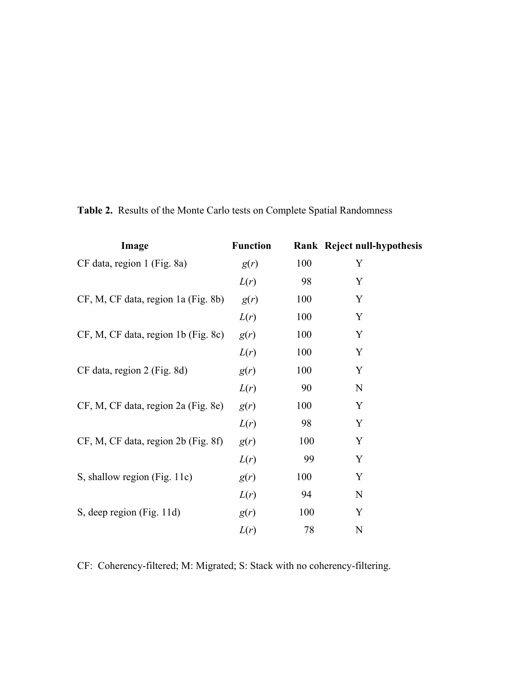| Image                               | <b>Function</b> |     | Rank Reject null-hypothesis |
|-------------------------------------|-----------------|-----|-----------------------------|
| CF data, region 1 (Fig. 8a)         | g(r)            | 100 | Y                           |
|                                     | L(r)            | 98  | Y                           |
| CF, M, CF data, region 1a (Fig. 8b) | g(r)            | 100 | Y                           |
|                                     | L(r)            | 100 | Y                           |
| CF, M, CF data, region 1b (Fig. 8c) | g(r)            | 100 | Y                           |
|                                     | L(r)            | 100 | Y                           |
| CF data, region 2 (Fig. 8d)         | g(r)            | 100 | Y                           |
|                                     | L(r)            | 90  | $\mathbf N$                 |
| CF, M, CF data, region 2a (Fig. 8e) | g(r)            | 100 | Y                           |
|                                     | L(r)            | 98  | Y                           |
| CF, M, CF data, region 2b (Fig. 8f) | g(r)            | 100 | Y                           |
|                                     | L(r)            | 99  | Y                           |
| S, shallow region (Fig. 11c)        | g(r)            | 100 | Y                           |
|                                     | L(r)            | 94  | $\mathbf N$                 |
| S, deep region (Fig. 11d)           | g(r)            | 100 | Y                           |
|                                     | L(r)            | 78  | N                           |
|                                     |                 |     |                             |

**Table 2.** Results of the Monte Carlo tests on Complete Spatial Randomness

CF: Coherency-filtered; M: Migrated; S: Stack with no coherency-filtering.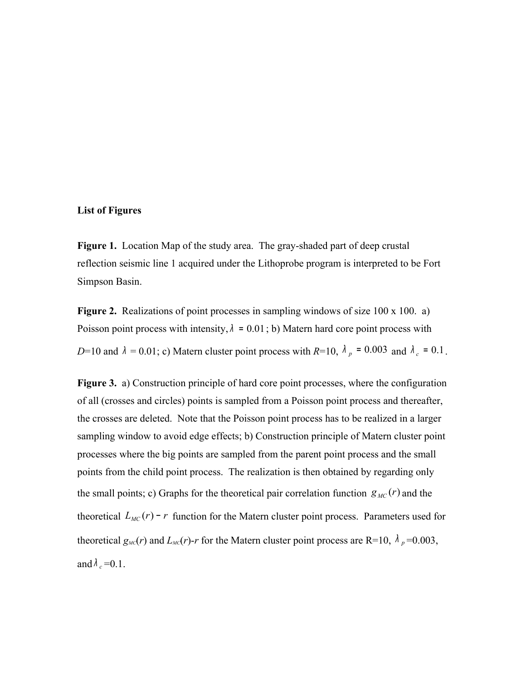## **List of Figures**

**Figure 1.** Location Map of the study area. The gray-shaded part of deep crustal reflection seismic line 1 acquired under the Lithoprobe program is interpreted to be Fort Simpson Basin.

**Figure 2.** Realizations of point processes in sampling windows of size 100 x 100. a) Poisson point process with intensity,  $\lambda = 0.01$ ; b) Matern hard core point process with *D*=10 and  $\lambda$  = 0.01; c) Matern cluster point process with *R*=10,  $\lambda_p$  = 0.003 and  $\lambda_c$  = 0.1.

**Figure 3.** a) Construction principle of hard core point processes, where the configuration of all (crosses and circles) points is sampled from a Poisson point process and thereafter, the crosses are deleted. Note that the Poisson point process has to be realized in a larger sampling window to avoid edge effects; b) Construction principle of Matern cluster point processes where the big points are sampled from the parent point process and the small points from the child point process. The realization is then obtained by regarding only the small points; c) Graphs for the theoretical pair correlation function  $g_{MC}(r)$  and the theoretical  $L_{MC}(r)$  - r function for the Matern cluster point process. Parameters used for theoretical  $g_{\text{MC}}(r)$  and  $L_{\text{MC}}(r)$ -*r* for the Matern cluster point process are R=10,  $\lambda_p = 0.003$ , and  $\lambda_c = 0.1$ .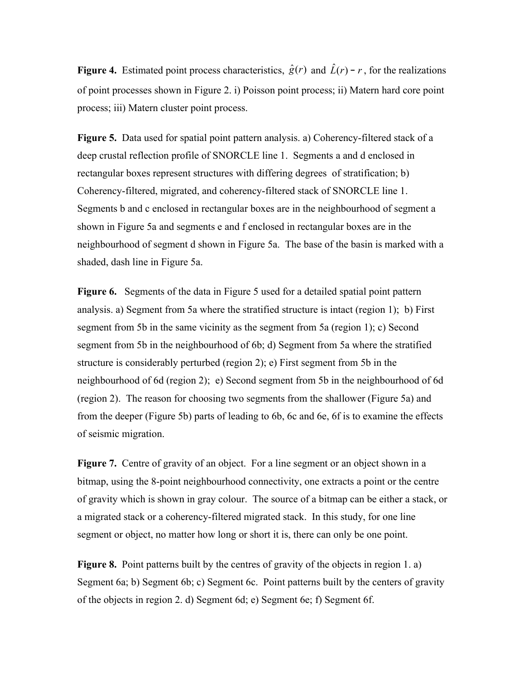**Figure 4.** Estimated point process characteristics,  $\hat{g}(r)$  and  $\hat{L}(r)$  – *r*, for the realizations of point processes shown in Figure 2. i) Poisson point process; ii) Matern hard core point process; iii) Matern cluster point process.

**Figure 5.** Data used for spatial point pattern analysis. a) Coherency-filtered stack of a deep crustal reflection profile of SNORCLE line 1. Segments a and d enclosed in rectangular boxes represent structures with differing degrees of stratification; b) Coherency-filtered, migrated, and coherency-filtered stack of SNORCLE line 1. Segments b and c enclosed in rectangular boxes are in the neighbourhood of segment a shown in Figure 5a and segments e and f enclosed in rectangular boxes are in the neighbourhood of segment d shown in Figure 5a. The base of the basin is marked with a shaded, dash line in Figure 5a.

**Figure 6.** Segments of the data in Figure 5 used for a detailed spatial point pattern analysis. a) Segment from 5a where the stratified structure is intact (region 1); b) First segment from 5b in the same vicinity as the segment from 5a (region 1); c) Second segment from 5b in the neighbourhood of 6b; d) Segment from 5a where the stratified structure is considerably perturbed (region 2); e) First segment from 5b in the neighbourhood of 6d (region 2); e) Second segment from 5b in the neighbourhood of 6d (region 2). The reason for choosing two segments from the shallower (Figure 5a) and from the deeper (Figure 5b) parts of leading to 6b, 6c and 6e, 6f is to examine the effects of seismic migration.

**Figure 7.** Centre of gravity of an object. For a line segment or an object shown in a bitmap, using the 8-point neighbourhood connectivity, one extracts a point or the centre of gravity which is shown in gray colour. The source of a bitmap can be either a stack, or a migrated stack or a coherency-filtered migrated stack. In this study, for one line segment or object, no matter how long or short it is, there can only be one point.

**Figure 8.** Point patterns built by the centres of gravity of the objects in region 1. a) Segment 6a; b) Segment 6b; c) Segment 6c. Point patterns built by the centers of gravity of the objects in region 2. d) Segment 6d; e) Segment 6e; f) Segment 6f.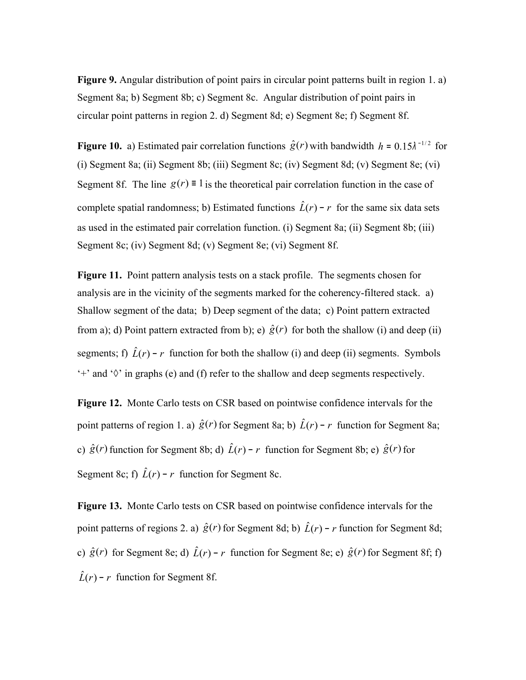**Figure 9.** Angular distribution of point pairs in circular point patterns built in region 1. a) Segment 8a; b) Segment 8b; c) Segment 8c. Angular distribution of point pairs in circular point patterns in region 2. d) Segment 8d; e) Segment 8e; f) Segment 8f.

**Figure 10.** a) Estimated pair correlation functions  $\hat{g}(r)$  with bandwidth  $h = 0.15\lambda^{-1/2}$  for (i) Segment 8a; (ii) Segment 8b; (iii) Segment 8c; (iv) Segment 8d; (v) Segment 8e; (vi) Segment 8f. The line  $g(r) = 1$  is the theoretical pair correlation function in the case of complete spatial randomness; b) Estimated functions  $\hat{L}(r)$  – r for the same six data sets as used in the estimated pair correlation function. (i) Segment 8a; (ii) Segment 8b; (iii) Segment 8c; (iv) Segment 8d; (v) Segment 8e; (vi) Segment 8f.

**Figure 11.** Point pattern analysis tests on a stack profile. The segments chosen for analysis are in the vicinity of the segments marked for the coherency-filtered stack. a) Shallow segment of the data; b) Deep segment of the data; c) Point pattern extracted from a); d) Point pattern extracted from b); e)  $\hat{g}(r)$  for both the shallow (i) and deep (ii) segments; f)  $\hat{L}(r)$  – *r* function for both the shallow (i) and deep (ii) segments. Symbols  $'$  and  $'$  in graphs (e) and (f) refer to the shallow and deep segments respectively.

**Figure 12.** Monte Carlo tests on CSR based on pointwise confidence intervals for the point patterns of region 1. a)  $\hat{g}(r)$  for Segment 8a; b)  $\hat{L}(r)$  - *r* function for Segment 8a; c)  $\hat{g}(r)$  function for Segment 8b; d)  $\hat{L}(r)$  – *r* function for Segment 8b; e)  $\hat{g}(r)$  for Segment 8c; f)  $\hat{L}(r)$  – *r* function for Segment 8c.

**Figure 13.** Monte Carlo tests on CSR based on pointwise confidence intervals for the point patterns of regions 2. a)  $\hat{g}(r)$  for Segment 8d; b)  $\hat{L}(r)$  - *r* function for Segment 8d; c)  $\hat{g}(r)$  for Segment 8e; d)  $\hat{L}(r)$  – *r* function for Segment 8e; e)  $\hat{g}(r)$  for Segment 8f; f)  $\hat{L}(r)$  – *r* function for Segment 8f.